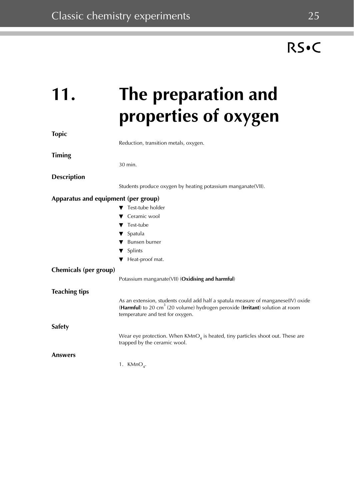### **11. The preparation and properties of oxygen Topic** Reduction, transition metals, oxygen. **Timing**  30 min. **Description** Students produce oxygen by heating potassium manganate(VII). **Apparatus and equipment (per group)** ▼ Test-tube holder Ceramic wool Test-tube ▼ Spatula **Bunsen burner** ▼ Splints ▼ Heat-proof mat. **Chemicals (per group)** Potassium manganate(VII) (**Oxidising and harmful**) **Teaching tips** As an extension, students could add half a spatula measure of manganese(IV) oxide (**Harmful**) to 20 cm3 (20 volume) hydrogen peroxide (**Irritant**) solution at room temperature and test for oxygen. **Safety** Wear eye protection. When  $KMnO<sub>4</sub>$  is heated, tiny particles shoot out. These are trapped by the ceramic wool.

**Answers**

1. KMn $O_4$ .